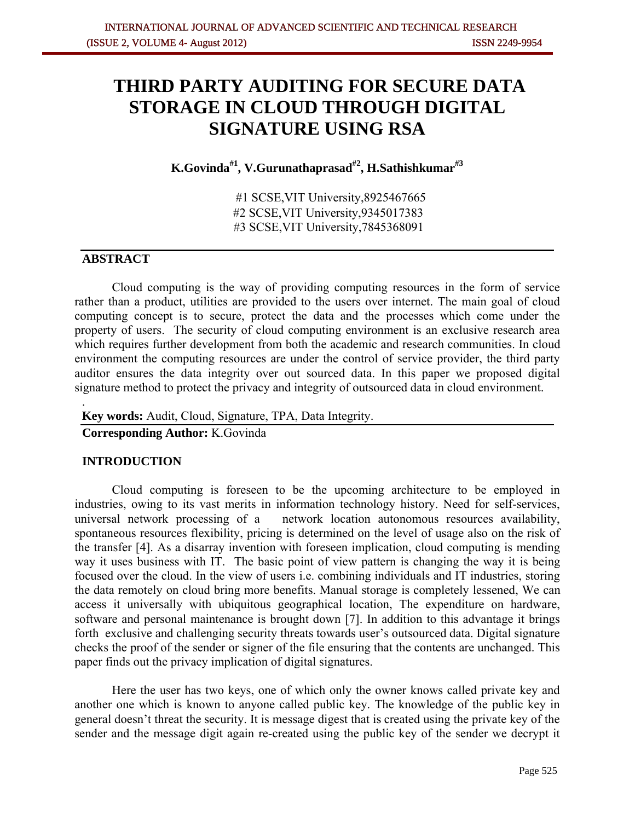# **THIRD PARTY AUDITING FOR SECURE DATA STORAGE IN CLOUD THROUGH DIGITAL SIGNATURE USING RSA**

**K.Govinda#1, V.Gurunathaprasad#2, H.Sathishkumar#3**

 #1 SCSE,VIT University,8925467665 #2 SCSE,VIT University,9345017383 #3 SCSE,VIT University,7845368091

# **ABSTRACT**

 Cloud computing is the way of providing computing resources in the form of service rather than a product, utilities are provided to the users over internet. The main goal of cloud computing concept is to secure, protect the data and the processes which come under the property of users. The security of cloud computing environment is an exclusive research area which requires further development from both the academic and research communities. In cloud environment the computing resources are under the control of service provider, the third party auditor ensures the data integrity over out sourced data. In this paper we proposed digital signature method to protect the privacy and integrity of outsourced data in cloud environment.

**Key words:** Audit, Cloud, Signature, TPA, Data Integrity.

**Corresponding Author:** K.Govinda

#### **INTRODUCTION**

.

Cloud computing is foreseen to be the upcoming architecture to be employed in industries, owing to its vast merits in information technology history. Need for self-services, universal network processing of a network location autonomous resources availability, spontaneous resources flexibility, pricing is determined on the level of usage also on the risk of the transfer [4]. As a disarray invention with foreseen implication, cloud computing is mending way it uses business with IT. The basic point of view pattern is changing the way it is being focused over the cloud. In the view of users i.e. combining individuals and IT industries, storing the data remotely on cloud bring more benefits. Manual storage is completely lessened, We can access it universally with ubiquitous geographical location, The expenditure on hardware, software and personal maintenance is brought down [7]. In addition to this advantage it brings forth exclusive and challenging security threats towards user's outsourced data. Digital signature checks the proof of the sender or signer of the file ensuring that the contents are unchanged. This paper finds out the privacy implication of digital signatures.

 Here the user has two keys, one of which only the owner knows called private key and another one which is known to anyone called public key. The knowledge of the public key in general doesn't threat the security. It is message digest that is created using the private key of the sender and the message digit again re-created using the public key of the sender we decrypt it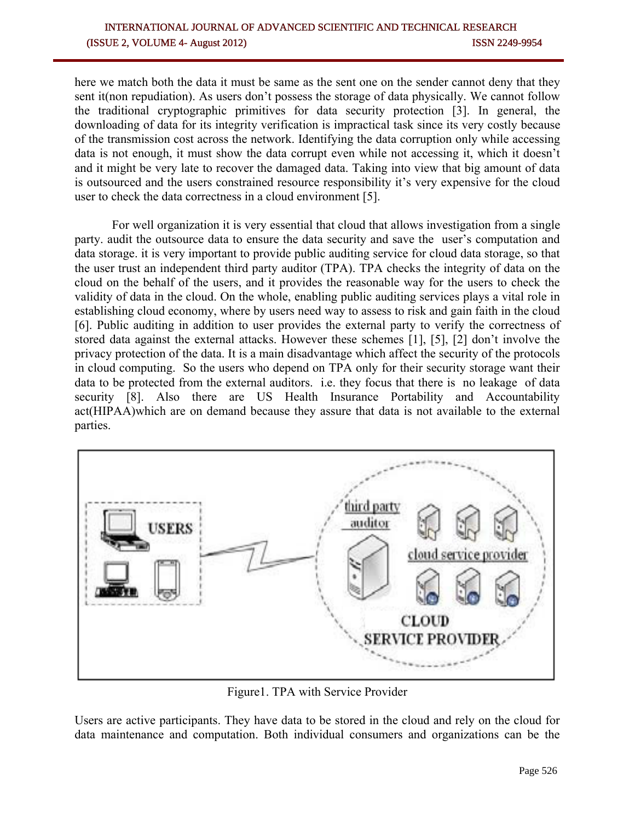#### INTERNATIONAL JOURNAL OF ADVANCED SCIENTIFIC AND TECHNICAL RESEARCH (ISSUE 2, VOLUME 4- August 2012) ISSN 2249-9954

here we match both the data it must be same as the sent one on the sender cannot deny that they sent it(non repudiation). As users don't possess the storage of data physically. We cannot follow the traditional cryptographic primitives for data security protection [3]. In general, the downloading of data for its integrity verification is impractical task since its very costly because of the transmission cost across the network. Identifying the data corruption only while accessing data is not enough, it must show the data corrupt even while not accessing it, which it doesn't and it might be very late to recover the damaged data. Taking into view that big amount of data is outsourced and the users constrained resource responsibility it's very expensive for the cloud user to check the data correctness in a cloud environment [5].

 For well organization it is very essential that cloud that allows investigation from a single party. audit the outsource data to ensure the data security and save the user's computation and data storage. it is very important to provide public auditing service for cloud data storage, so that the user trust an independent third party auditor (TPA). TPA checks the integrity of data on the cloud on the behalf of the users, and it provides the reasonable way for the users to check the validity of data in the cloud. On the whole, enabling public auditing services plays a vital role in establishing cloud economy, where by users need way to assess to risk and gain faith in the cloud [6]. Public auditing in addition to user provides the external party to verify the correctness of stored data against the external attacks. However these schemes [1], [5], [2] don't involve the privacy protection of the data. It is a main disadvantage which affect the security of the protocols in cloud computing. So the users who depend on TPA only for their security storage want their data to be protected from the external auditors. i.e. they focus that there is no leakage of data security [8]. Also there are US Health Insurance Portability and Accountability act(HIPAA)which are on demand because they assure that data is not available to the external parties.



Figure1. TPA with Service Provider

Users are active participants. They have data to be stored in the cloud and rely on the cloud for data maintenance and computation. Both individual consumers and organizations can be the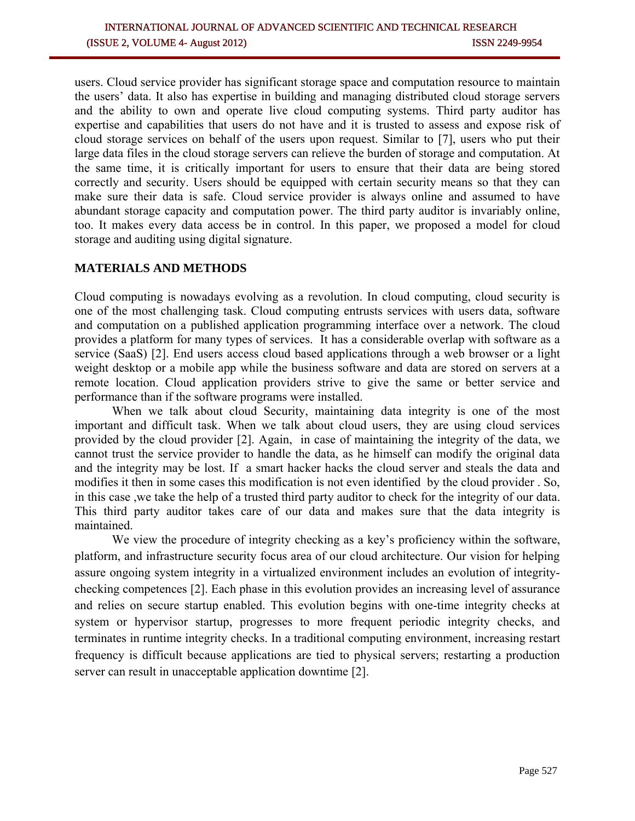users. Cloud service provider has significant storage space and computation resource to maintain the users' data. It also has expertise in building and managing distributed cloud storage servers and the ability to own and operate live cloud computing systems. Third party auditor has expertise and capabilities that users do not have and it is trusted to assess and expose risk of cloud storage services on behalf of the users upon request. Similar to [7], users who put their large data files in the cloud storage servers can relieve the burden of storage and computation. At the same time, it is critically important for users to ensure that their data are being stored correctly and security. Users should be equipped with certain security means so that they can make sure their data is safe. Cloud service provider is always online and assumed to have abundant storage capacity and computation power. The third party auditor is invariably online, too. It makes every data access be in control. In this paper, we proposed a model for cloud storage and auditing using digital signature.

#### **MATERIALS AND METHODS**

Cloud computing is nowadays evolving as a revolution. In cloud computing, cloud security is one of the most challenging task. Cloud computing entrusts services with users data, software and computation on a published application programming interface over a network. The cloud provides a platform for many types of services. It has a considerable overlap with software as a service (SaaS) [2]. End users access cloud based applications through a web browser or a light weight desktop or a mobile app while the business software and data are stored on servers at a remote location. Cloud application providers strive to give the same or better service and performance than if the software programs were installed.

 When we talk about cloud Security, maintaining data integrity is one of the most important and difficult task. When we talk about cloud users, they are using cloud services provided by the cloud provider [2]. Again, in case of maintaining the integrity of the data, we cannot trust the service provider to handle the data, as he himself can modify the original data and the integrity may be lost. If a smart hacker hacks the cloud server and steals the data and modifies it then in some cases this modification is not even identified by the cloud provider . So, in this case ,we take the help of a trusted third party auditor to check for the integrity of our data. This third party auditor takes care of our data and makes sure that the data integrity is maintained.

We view the procedure of integrity checking as a key's proficiency within the software, platform, and infrastructure security focus area of our cloud architecture. Our vision for helping assure ongoing system integrity in a virtualized environment includes an evolution of integritychecking competences [2]. Each phase in this evolution provides an increasing level of assurance and relies on secure startup enabled. This evolution begins with one-time integrity checks at system or hypervisor startup, progresses to more frequent periodic integrity checks, and terminates in runtime integrity checks. In a traditional computing environment, increasing restart frequency is difficult because applications are tied to physical servers; restarting a production server can result in unacceptable application downtime [2].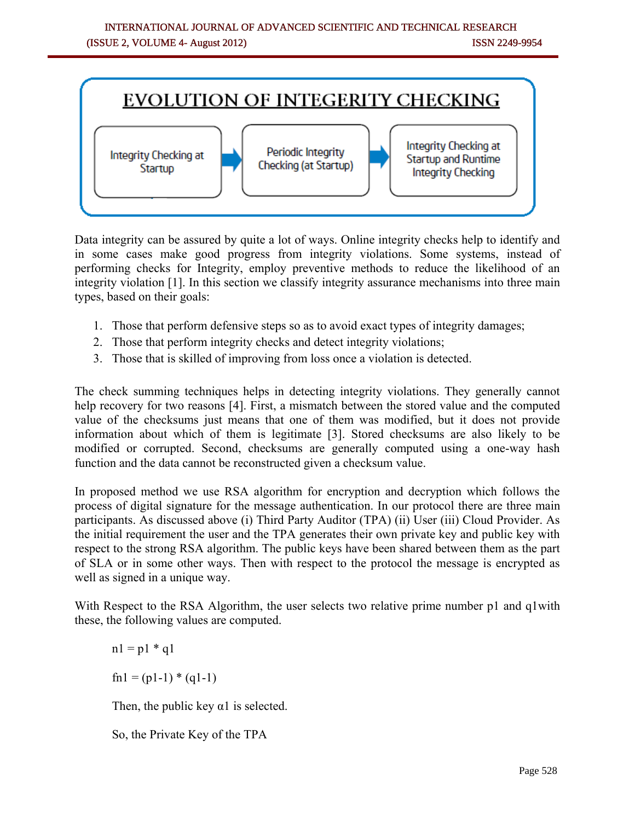# **EVOLUTION OF INTEGERITY CHECKING**



Periodic Integrity Checking (at Startup) Integrity Checking at Startup and Runtime Integrity Checking

Data integrity can be assured by quite a lot of ways. Online integrity checks help to identify and in some cases make good progress from integrity violations. Some systems, instead of performing checks for Integrity, employ preventive methods to reduce the likelihood of an integrity violation [1]. In this section we classify integrity assurance mechanisms into three main types, based on their goals:

- 1. Those that perform defensive steps so as to avoid exact types of integrity damages;
- 2. Those that perform integrity checks and detect integrity violations;
- 3. Those that is skilled of improving from loss once a violation is detected.

The check summing techniques helps in detecting integrity violations. They generally cannot help recovery for two reasons [4]. First, a mismatch between the stored value and the computed value of the checksums just means that one of them was modified, but it does not provide information about which of them is legitimate [3]. Stored checksums are also likely to be modified or corrupted. Second, checksums are generally computed using a one-way hash function and the data cannot be reconstructed given a checksum value.

In proposed method we use RSA algorithm for encryption and decryption which follows the process of digital signature for the message authentication. In our protocol there are three main participants. As discussed above (i) Third Party Auditor (TPA) (ii) User (iii) Cloud Provider. As the initial requirement the user and the TPA generates their own private key and public key with respect to the strong RSA algorithm. The public keys have been shared between them as the part of SLA or in some other ways. Then with respect to the protocol the message is encrypted as well as signed in a unique way.

With Respect to the RSA Algorithm, the user selects two relative prime number p1 and q1with these, the following values are computed.

 $n1 = p1 * q1$ 

 $fn1 = (p1-1) * (q1-1)$ 

Then, the public key  $\alpha$ 1 is selected.

So, the Private Key of the TPA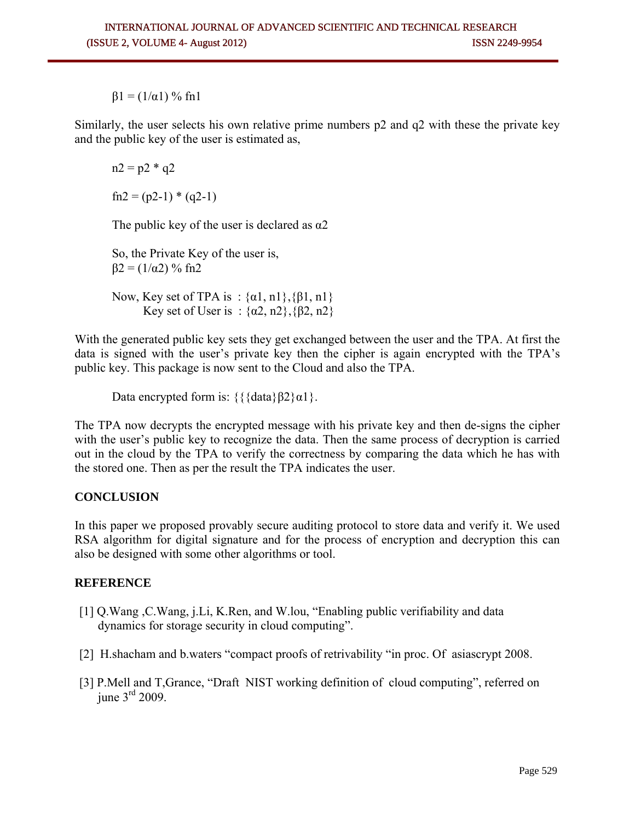$β1 = (1/α1)$ % fn1

Similarly, the user selects his own relative prime numbers p2 and q2 with these the private key and the public key of the user is estimated as,

 $n2 = p2 * q2$  $fn2 = (p2-1) * (q2-1)$ 

The public key of the user is declared as  $\alpha$ 2

So, the Private Key of the user is,  $β2 = (1/α2)$ % fn2

Now, Key set of TPA is :  $\{\alpha1, n1\}$ ,  $\{\beta1, n1\}$ Key set of User is :  $\{\alpha^2, \alpha^2\}$ ,  $\{\beta^2, \alpha^2\}$ 

With the generated public key sets they get exchanged between the user and the TPA. At first the data is signed with the user's private key then the cipher is again encrypted with the TPA's public key. This package is now sent to the Cloud and also the TPA.

Data encrypted form is:  $\{\{\}data\}\beta2\}\alpha1\}$ .

The TPA now decrypts the encrypted message with his private key and then de-signs the cipher with the user's public key to recognize the data. Then the same process of decryption is carried out in the cloud by the TPA to verify the correctness by comparing the data which he has with the stored one. Then as per the result the TPA indicates the user.

# **CONCLUSION**

In this paper we proposed provably secure auditing protocol to store data and verify it. We used RSA algorithm for digital signature and for the process of encryption and decryption this can also be designed with some other algorithms or tool.

# **REFERENCE**

- [1] Q.Wang ,C.Wang, j.Li, K.Ren, and W.lou, "Enabling public verifiability and data dynamics for storage security in cloud computing".
- [2] H.shacham and b.waters "compact proofs of retrivability "in proc. Of asiascrypt 2008.
- [3] P.Mell and T,Grance, "Draft NIST working definition of cloud computing", referred on iune  $3<sup>rd</sup> 2009$ .